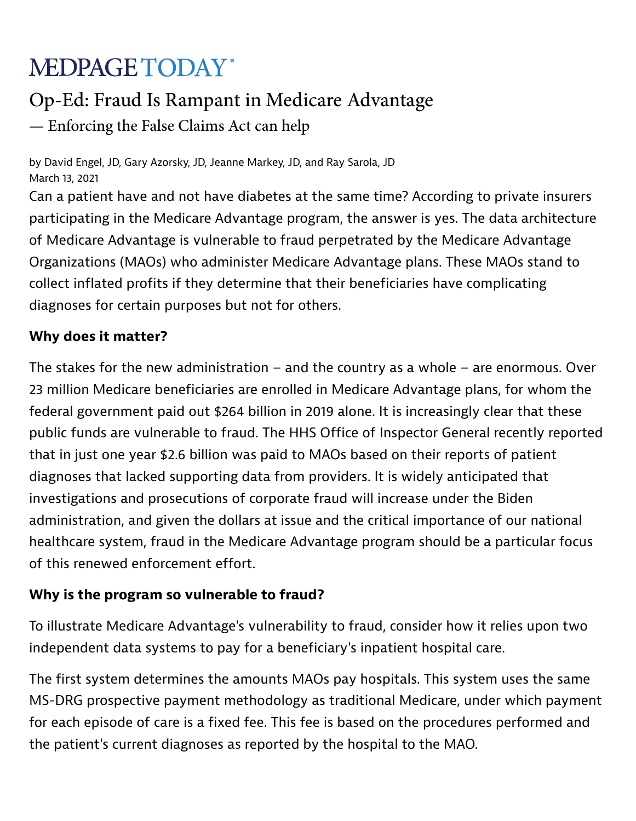# **MEDPAGE TODAY**\*

## Op-Ed: Fraud Is Rampant in Medicare Advantage

— Enforcing the False Claims Act can help

by David Engel, JD, Gary Azorsky, JD, Jeanne Markey, JD, and Ray Sarola, JD March 13, 2021

Can a patient have and not have diabetes at the same time? According to private insurers participating in the Medicare Advantage program, the answer is yes. The data architecture of Medicare Advantage is vulnerable to fraud perpetrated by the Medicare Advantage Organizations (MAOs) who administer Medicare Advantage plans. These MAOs stand to collect inflated profits if they determine that their beneficiaries have complicating diagnoses for certain purposes but not for others.

### Why does it matter?

The stakes for the new administration  $-$  and the country as a whole  $-$  are enormous. Over 23 million Medicare beneficiaries are enrolled in Medicare Advantage plans, for whom the federal government paid out \$264 billion in 2019 alone. It is increasingly clear that these public funds are vulnerable to fraud. The HHS Office of Inspector General recently reported that in just one year \$2.6 billion was paid to MAOs based on their reports of patient diagnoses that lacked supporting data from providers. It is widely anticipated that investigations and prosecutions of corporate fraud will increase under the Biden administration, and given the dollars at issue and the critical importance of our national healthcare system, fraud in the Medicare Advantage program should be a particular focus of this renewed enforcement effort.

#### Why is the program so vulnerable to fraud?

To illustrate Medicare Advantage's vulnerability to fraud, consider how it relies upon two independent data systems to pay for a beneficiary's inpatient hospital care.

The first system determines the amounts MAOs pay hospitals. This system uses the same MS-DRG prospective payment methodology as traditional Medicare, under which payment for each episode of care is a fixed fee. This fee is based on the procedures performed and the patient's current diagnoses as reported by the hospital to the MAO.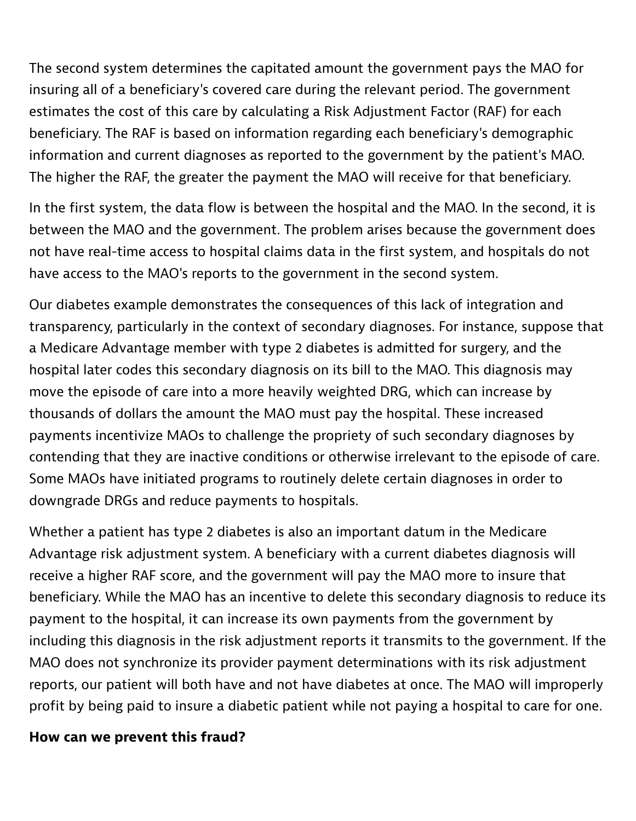The second system determines the capitated amount the government pays the MAO for insuring all of a beneficiary's covered care during the relevant period. The government estimates the cost of this care by calculating a Risk Adjustment Factor (RAF) for each beneficiary. The RAF is based on information regarding each beneficiary's demographic information and current diagnoses as reported to the government by the patient's MAO. The higher the RAF, the greater the payment the MAO will receive for that beneficiary.

In the first system, the data flow is between the hospital and the MAO. In the second, it is between the MAO and the government. The problem arises because the government does not have real-time access to hospital claims data in the first system, and hospitals do not have access to the MAO's reports to the government in the second system.

Our diabetes example demonstrates the consequences of this lack of integration and transparency, particularly in the context of secondary diagnoses. For instance, suppose that a Medicare Advantage member with type 2 diabetes is admitted for surgery, and the hospital later codes this secondary diagnosis on its bill to the MAO. This diagnosis may move the episode of care into a more heavily weighted DRG, which can increase by thousands of dollars the amount the MAO must pay the hospital. These increased payments incentivize MAOs to challenge the propriety of such secondary diagnoses by contending that they are inactive conditions or otherwise irrelevant to the episode of care. Some MAOs have initiated programs to routinely delete certain diagnoses in order to downgrade DRGs and reduce payments to hospitals.

Whether a patient has type 2 diabetes is also an important datum in the Medicare Advantage risk adjustment system. A beneficiary with a current diabetes diagnosis will receive a higher RAF score, and the government will pay the MAO more to insure that beneficiary. While the MAO has an incentive to delete this secondary diagnosis to reduce its payment to the hospital, it can increase its own payments from the government by including this diagnosis in the risk adjustment reports it transmits to the government. If the MAO does not synchronize its provider payment determinations with its risk adjustment reports, our patient will both have and not have diabetes at once. The MAO will improperly profit by being paid to insure a diabetic patient while not paying a hospital to care for one.

#### How can we prevent this fraud?